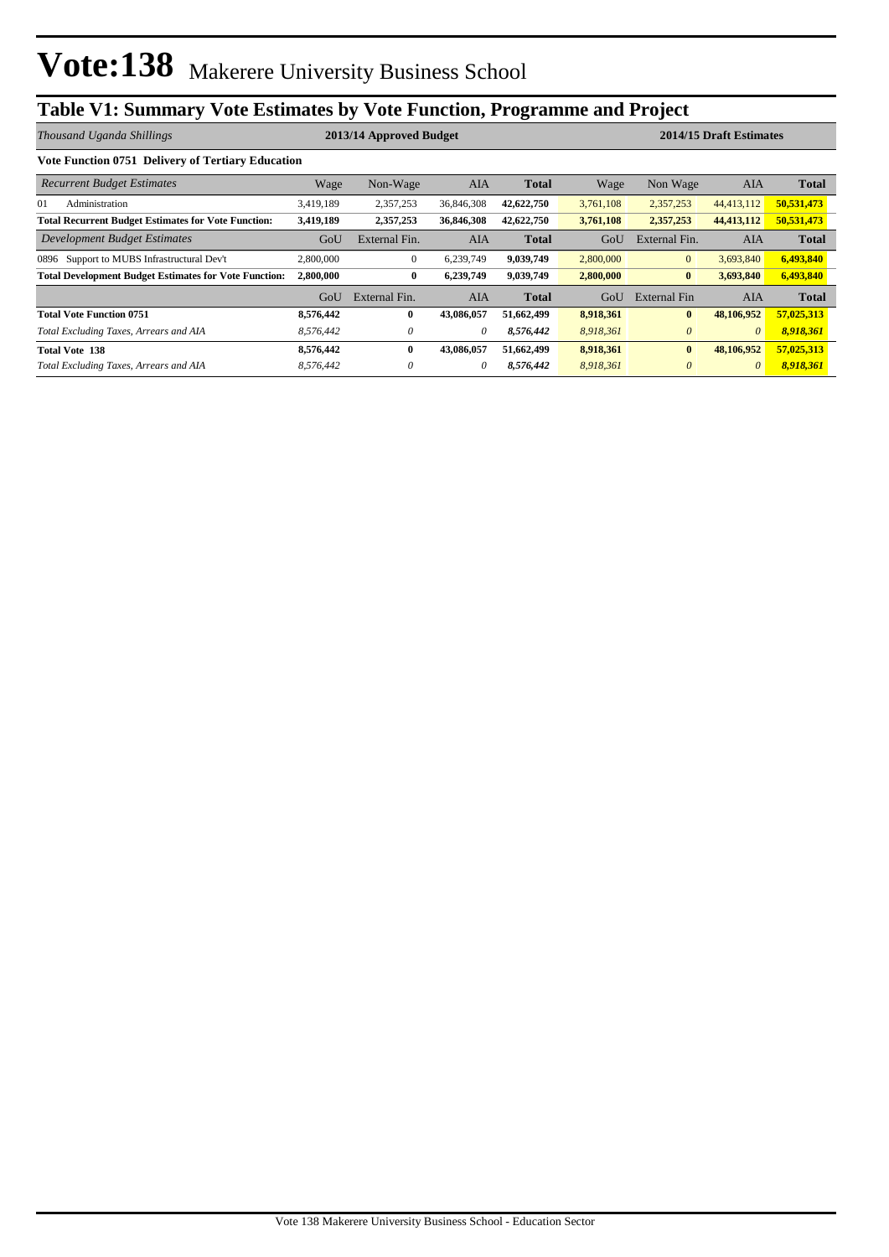# **Table V1: Summary Vote Estimates by Vote Function, Programme and Project**

| Thousand Uganda Shillings                                    |           | 2013/14 Approved Budget |            |              | 2014/15 Draft Estimates |                |            |              |  |
|--------------------------------------------------------------|-----------|-------------------------|------------|--------------|-------------------------|----------------|------------|--------------|--|
| Vote Function 0751 Delivery of Tertiary Education            |           |                         |            |              |                         |                |            |              |  |
| <b>Recurrent Budget Estimates</b>                            | Wage      | Non-Wage                | AIA        | <b>Total</b> | Wage                    | Non Wage       | AIA        | <b>Total</b> |  |
| 01<br>Administration                                         | 3,419,189 | 2,357,253               | 36,846,308 | 42,622,750   | 3,761,108               | 2,357,253      | 44,413,112 | 50,531,473   |  |
| <b>Total Recurrent Budget Estimates for Vote Function:</b>   | 3,419,189 | 2,357,253               | 36,846,308 | 42,622,750   | 3,761,108               | 2,357,253      | 44,413,112 | 50,531,473   |  |
| Development Budget Estimates                                 | GoU       | External Fin.           | AIA        | <b>Total</b> | GoU                     | External Fin.  | AIA        | <b>Total</b> |  |
| Support to MUBS Infrastructural Dev't<br>0896                | 2,800,000 | $\mathbf{0}$            | 6.239.749  | 9,039,749    | 2,800,000               | $\overline{0}$ | 3,693,840  | 6,493,840    |  |
| <b>Total Development Budget Estimates for Vote Function:</b> | 2,800,000 | $\bf{0}$                | 6,239,749  | 9,039,749    | 2,800,000               | $\bf{0}$       | 3,693,840  | 6,493,840    |  |
|                                                              | GoU       | External Fin.           | AIA        | <b>Total</b> | GoU                     | External Fin   | AIA        | <b>Total</b> |  |
| <b>Total Vote Function 0751</b>                              | 8,576,442 | $\bf{0}$                | 43,086,057 | 51,662,499   | 8,918,361               | $\bf{0}$       | 48,106,952 | 57,025,313   |  |
| Total Excluding Taxes, Arrears and AIA                       | 8,576,442 | 0                       | 0          | 8,576,442    | 8,918,361               | $\theta$       | $\theta$   | 8,918,361    |  |
| <b>Total Vote 138</b>                                        | 8,576,442 | $\bf{0}$                | 43,086,057 | 51,662,499   | 8,918,361               | $\bf{0}$       | 48,106,952 | 57,025,313   |  |
| Total Excluding Taxes, Arrears and AIA                       | 8,576,442 | 0                       | 0          | 8,576,442    | 8,918,361               | $\theta$       | $\theta$   | 8,918,361    |  |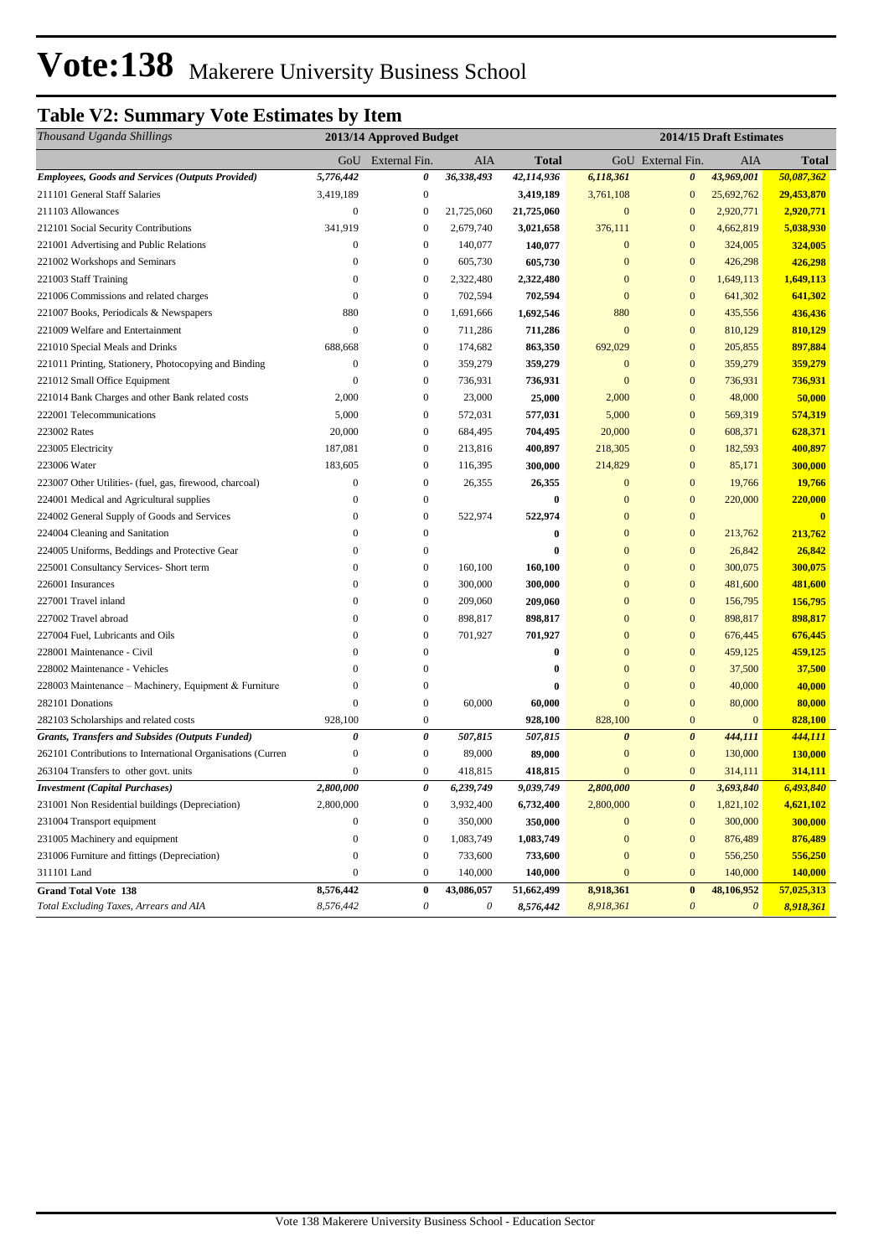# Vote: 138 Makerere University Business School

## **Table V2: Summary Vote Estimates by Item**

| Thousand Uganda Shillings                                   | 2013/14 Approved Budget |                   |            |              | 2014/15 Draft Estimates |                       |                       |                |  |
|-------------------------------------------------------------|-------------------------|-------------------|------------|--------------|-------------------------|-----------------------|-----------------------|----------------|--|
|                                                             |                         | GoU External Fin. | AIA        | <b>Total</b> |                         | GoU External Fin.     | AIA                   | <b>Total</b>   |  |
| <b>Employees, Goods and Services (Outputs Provided)</b>     | 5,776,442               | 0                 | 36,338,493 | 42,114,936   | 6,118,361               | 0                     | 43,969,001            | 50,087,362     |  |
| 211101 General Staff Salaries                               | 3,419,189               | $\boldsymbol{0}$  |            | 3,419,189    | 3,761,108               | $\bf{0}$              | 25,692,762            | 29,453,870     |  |
| 211103 Allowances                                           | $\mathbf{0}$            | $\boldsymbol{0}$  | 21,725,060 | 21,725,060   | $\boldsymbol{0}$        | $\mathbf{0}$          | 2,920,771             | 2,920,771      |  |
| 212101 Social Security Contributions                        | 341,919                 | $\boldsymbol{0}$  | 2,679,740  | 3,021,658    | 376,111                 | $\bf{0}$              | 4,662,819             | 5,038,930      |  |
| 221001 Advertising and Public Relations                     | $\mathbf{0}$            | $\boldsymbol{0}$  | 140,077    | 140,077      | $\mathbf{0}$            | $\bf{0}$              | 324,005               | 324,005        |  |
| 221002 Workshops and Seminars                               | $\mathbf{0}$            | $\boldsymbol{0}$  | 605,730    | 605,730      | $\mathbf{0}$            | $\mathbf{0}$          | 426,298               | 426,298        |  |
| 221003 Staff Training                                       | $\boldsymbol{0}$        | $\boldsymbol{0}$  | 2,322,480  | 2,322,480    | $\mathbf{0}$            | $\mathbf{0}$          | 1,649,113             | 1,649,113      |  |
| 221006 Commissions and related charges                      | $\mathbf{0}$            | $\boldsymbol{0}$  | 702,594    | 702,594      | $\boldsymbol{0}$        | $\mathbf{0}$          | 641,302               | 641,302        |  |
| 221007 Books, Periodicals & Newspapers                      | 880                     | $\boldsymbol{0}$  | 1,691,666  | 1,692,546    | 880                     | $\boldsymbol{0}$      | 435,556               | 436,436        |  |
| 221009 Welfare and Entertainment                            | $\overline{0}$          | $\boldsymbol{0}$  | 711,286    | 711,286      | $\mathbf{0}$            | $\mathbf{0}$          | 810,129               | 810,129        |  |
| 221010 Special Meals and Drinks                             | 688,668                 | $\boldsymbol{0}$  | 174,682    | 863,350      | 692,029                 | $\mathbf{0}$          | 205,855               | 897,884        |  |
| 221011 Printing, Stationery, Photocopying and Binding       | $\boldsymbol{0}$        | $\boldsymbol{0}$  | 359,279    | 359,279      | $\mathbf{0}$            | $\mathbf{0}$          | 359,279               | 359,279        |  |
| 221012 Small Office Equipment                               | $\mathbf{0}$            | $\boldsymbol{0}$  | 736,931    | 736,931      | $\mathbf{0}$            | $\mathbf{0}$          | 736,931               | 736,931        |  |
| 221014 Bank Charges and other Bank related costs            | 2,000                   | $\boldsymbol{0}$  | 23,000     | 25,000       | 2,000                   | $\mathbf{0}$          | 48,000                | 50,000         |  |
| 222001 Telecommunications                                   | 5,000                   | $\boldsymbol{0}$  | 572,031    | 577,031      | 5,000                   | $\mathbf{0}$          | 569,319               | 574,319        |  |
| 223002 Rates                                                | 20,000                  | $\boldsymbol{0}$  | 684,495    | 704,495      | 20,000                  | $\mathbf{0}$          | 608,371               | 628,371        |  |
| 223005 Electricity                                          | 187,081                 | $\boldsymbol{0}$  | 213,816    | 400,897      | 218,305                 | $\boldsymbol{0}$      | 182,593               | 400,897        |  |
| 223006 Water                                                | 183,605                 | $\boldsymbol{0}$  | 116,395    | 300,000      | 214,829                 | $\mathbf{0}$          | 85,171                | 300,000        |  |
| 223007 Other Utilities- (fuel, gas, firewood, charcoal)     | $\boldsymbol{0}$        | $\boldsymbol{0}$  | 26,355     | 26,355       | $\boldsymbol{0}$        | $\bf{0}$              | 19,766                | 19,766         |  |
| 224001 Medical and Agricultural supplies                    | $\mathbf{0}$            | $\boldsymbol{0}$  |            | $\bf{0}$     | $\mathbf{0}$            | $\mathbf{0}$          | 220,000               | 220,000        |  |
| 224002 General Supply of Goods and Services                 | $\boldsymbol{0}$        | $\boldsymbol{0}$  | 522,974    | 522,974      | $\mathbf{0}$            | $\bf{0}$              |                       | $\bf{0}$       |  |
| 224004 Cleaning and Sanitation                              | $\mathbf{0}$            | $\bf{0}$          |            | 0            | $\mathbf{0}$            | $\mathbf{0}$          | 213,762               | 213,762        |  |
| 224005 Uniforms, Beddings and Protective Gear               | $\mathbf{0}$            | $\bf{0}$          |            | 0            | $\mathbf{0}$            | $\mathbf{0}$          | 26,842                | 26,842         |  |
| 225001 Consultancy Services- Short term                     | $\mathbf{0}$            | $\boldsymbol{0}$  | 160,100    | 160,100      | $\mathbf{0}$            | $\mathbf{0}$          | 300,075               | 300,075        |  |
| 226001 Insurances                                           | $\mathbf{0}$            | $\boldsymbol{0}$  | 300,000    | 300,000      | $\mathbf{0}$            | $\mathbf{0}$          | 481,600               | 481,600        |  |
| 227001 Travel inland                                        | $\boldsymbol{0}$        | $\boldsymbol{0}$  | 209,060    | 209,060      | $\mathbf{0}$            | $\bf{0}$              | 156,795               | 156,795        |  |
| 227002 Travel abroad                                        | $\mathbf{0}$            | $\boldsymbol{0}$  | 898,817    | 898,817      | $\boldsymbol{0}$        | $\mathbf{0}$          | 898,817               | 898,817        |  |
| 227004 Fuel, Lubricants and Oils                            | $\theta$                | $\boldsymbol{0}$  | 701,927    | 701,927      | $\mathbf{0}$            | $\mathbf{0}$          | 676,445               | 676,445        |  |
| 228001 Maintenance - Civil                                  | $\theta$                | $\mathbf{0}$      |            | 0            | $\mathbf{0}$            | $\mathbf{0}$          | 459,125               | 459,125        |  |
| 228002 Maintenance - Vehicles                               | $\Omega$                | $\mathbf{0}$      |            | 0            | $\mathbf{0}$            | $\mathbf{0}$          | 37,500                | 37,500         |  |
| 228003 Maintenance – Machinery, Equipment & Furniture       | $\overline{0}$          | $\bf{0}$          |            | 0            | $\mathbf{0}$            | $\mathbf{0}$          | 40,000                | 40,000         |  |
| 282101 Donations                                            | $\overline{0}$          | $\boldsymbol{0}$  | 60,000     | 60,000       | $\mathbf{0}$            | $\mathbf{0}$          | 80,000                | 80,000         |  |
| 282103 Scholarships and related costs                       | 928,100                 | $\boldsymbol{0}$  |            | 928,100      | 828,100                 | $\bf{0}$              | $\mathbf{0}$          | 828,100        |  |
| <b>Grants, Transfers and Subsides (Outputs Funded)</b>      | 0                       | $\pmb{\theta}$    | 507,815    | 507,815      | $\boldsymbol{\theta}$   | $\boldsymbol{\theta}$ | 444,111               | 444,111        |  |
| 262101 Contributions to International Organisations (Curren | $\boldsymbol{0}$        | $\boldsymbol{0}$  | 89,000     | 89,000       | $\mathbf{0}$            | $\mathbf{0}$          | 130,000               | <b>130,000</b> |  |
| 263104 Transfers to other govt. units                       | $\overline{0}$          | $\boldsymbol{0}$  | 418,815    | 418,815      | $\mathbf{0}$            | $\mathbf{0}$          | 314,111               | 314,111        |  |
| <b>Investment (Capital Purchases)</b>                       | 2,800,000               | 0                 | 6,239,749  | 9,039,749    | 2,800,000               | $\boldsymbol{\theta}$ | 3,693,840             | 6,493,840      |  |
| 231001 Non Residential buildings (Depreciation)             | 2,800,000               | $\boldsymbol{0}$  | 3,932,400  | 6,732,400    | 2,800,000               | $\boldsymbol{0}$      | 1,821,102             | 4,621,102      |  |
| 231004 Transport equipment                                  | $\boldsymbol{0}$        | $\boldsymbol{0}$  | 350,000    | 350,000      | $\mathbf{0}$            | $\mathbf{0}$          | 300,000               | 300,000        |  |
| 231005 Machinery and equipment                              | $\boldsymbol{0}$        | $\boldsymbol{0}$  | 1,083,749  | 1,083,749    | $\boldsymbol{0}$        | $\mathbf{0}$          | 876,489               | 876,489        |  |
| 231006 Furniture and fittings (Depreciation)                | $\boldsymbol{0}$        | $\boldsymbol{0}$  | 733,600    | 733,600      | $\boldsymbol{0}$        | $\mathbf{0}$          | 556,250               | 556,250        |  |
| 311101 Land                                                 | $\boldsymbol{0}$        | $\boldsymbol{0}$  | 140,000    | 140,000      | $\boldsymbol{0}$        | $\mathbf{0}$          | 140,000               | <b>140,000</b> |  |
| <b>Grand Total Vote 138</b>                                 | 8,576,442               | $\pmb{0}$         | 43,086,057 | 51,662,499   | 8,918,361               | $\bf{0}$              | 48,106,952            | 57,025,313     |  |
| Total Excluding Taxes, Arrears and AIA                      | 8,576,442               | $\theta$          | 0          | 8,576,442    | 8,918,361               | $\boldsymbol{\theta}$ | $\boldsymbol{\theta}$ | 8,918,361      |  |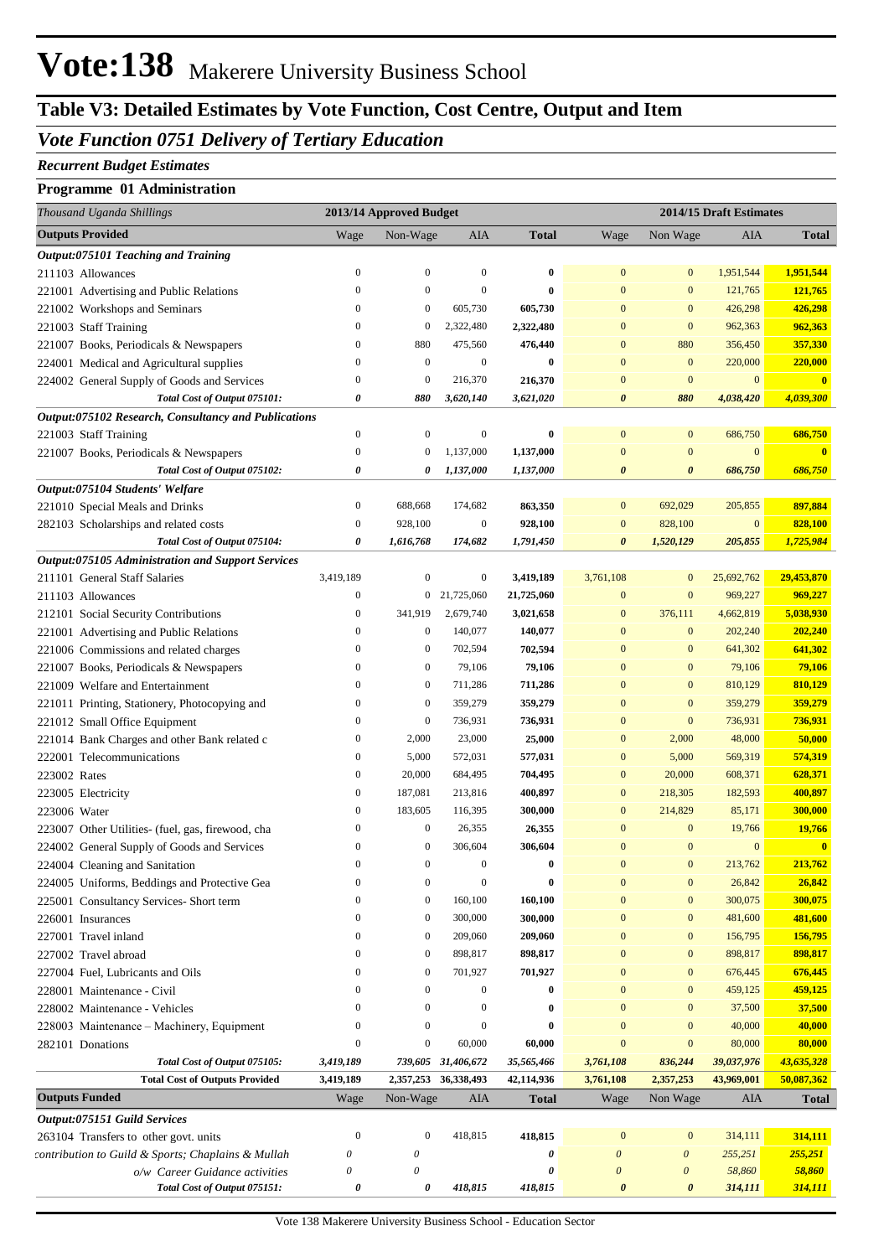# Vote: 138 Makerere University Business School

## **Table V3: Detailed Estimates by Vote Function, Cost Centre, Output and Item**

### *Vote Function 0751 Delivery of Tertiary Education*

#### *Recurrent Budget Estimates*

#### **Programme 01 Administration**

| Thousand Uganda Shillings                                                               |                       | 2013/14 Approved Budget |                      |              | 2014/15 Draft Estimates |                       |                |                         |
|-----------------------------------------------------------------------------------------|-----------------------|-------------------------|----------------------|--------------|-------------------------|-----------------------|----------------|-------------------------|
| <b>Outputs Provided</b>                                                                 | Wage                  | Non-Wage                | AIA                  | <b>Total</b> | Wage                    | Non Wage              | <b>AIA</b>     | <b>Total</b>            |
| Output:075101 Teaching and Training                                                     |                       |                         |                      |              |                         |                       |                |                         |
| 211103 Allowances                                                                       | $\boldsymbol{0}$      | $\boldsymbol{0}$        | $\mathbf{0}$         | 0            | $\mathbf{0}$            | $\mathbf{0}$          | 1,951,544      | 1,951,544               |
| 221001 Advertising and Public Relations                                                 | $\boldsymbol{0}$      | $\boldsymbol{0}$        | $\mathbf{0}$         | $\bf{0}$     | $\mathbf{0}$            | $\boldsymbol{0}$      | 121,765        | 121,765                 |
| 221002 Workshops and Seminars                                                           | $\boldsymbol{0}$      | $\boldsymbol{0}$        | 605,730              | 605,730      | $\mathbf{0}$            | $\mathbf{0}$          | 426,298        | 426,298                 |
| 221003 Staff Training                                                                   | $\boldsymbol{0}$      | $\boldsymbol{0}$        | 2,322,480            | 2,322,480    | $\mathbf{0}$            | $\mathbf{0}$          | 962,363        | 962,363                 |
| 221007 Books, Periodicals & Newspapers                                                  | $\boldsymbol{0}$      | 880                     | 475,560              | 476,440      | $\mathbf{0}$            | 880                   | 356,450        | 357,330                 |
| 224001 Medical and Agricultural supplies                                                | $\boldsymbol{0}$      | $\boldsymbol{0}$        | $\mathbf{0}$         | $\bf{0}$     | $\mathbf{0}$            | $\mathbf{0}$          | 220,000        | 220,000                 |
| 224002 General Supply of Goods and Services                                             | $\boldsymbol{0}$      | $\overline{0}$          | 216,370              | 216,370      | $\mathbf{0}$            | $\mathbf{0}$          | $\mathbf{0}$   | $\overline{\mathbf{0}}$ |
| Total Cost of Output 075101:                                                            | $\boldsymbol{\theta}$ | 880                     | 3,620,140            | 3,621,020    | $\boldsymbol{\theta}$   | 880                   | 4,038,420      | 4,039,300               |
| Output:075102 Research, Consultancy and Publications                                    |                       |                         |                      |              |                         |                       |                |                         |
| 221003 Staff Training                                                                   | $\boldsymbol{0}$      | $\boldsymbol{0}$        | $\mathbf{0}$         | $\bf{0}$     | $\boldsymbol{0}$        | $\mathbf{0}$          | 686,750        | 686,750                 |
| 221007 Books, Periodicals & Newspapers                                                  | $\boldsymbol{0}$      | $\boldsymbol{0}$        | 1,137,000            | 1,137,000    | $\mathbf{0}$            | $\mathbf{0}$          | $\mathbf{0}$   | $\overline{\mathbf{0}}$ |
| Total Cost of Output 075102:                                                            | $\boldsymbol{\theta}$ | 0                       | 1,137,000            | 1,137,000    | $\boldsymbol{\theta}$   | $\boldsymbol{\theta}$ | 686,750        | 686,750                 |
| Output:075104 Students' Welfare                                                         |                       |                         |                      |              |                         |                       |                |                         |
| 221010 Special Meals and Drinks                                                         | $\boldsymbol{0}$      | 688,668                 | 174,682              | 863,350      | $\mathbf{0}$            | 692,029               | 205,855        | 897,884                 |
| 282103 Scholarships and related costs                                                   | $\boldsymbol{0}$      | 928,100                 | $\mathbf{0}$         | 928,100      | $\mathbf{0}$            | 828,100               | $\mathbf{0}$   | 828,100                 |
| Total Cost of Output 075104:                                                            | $\boldsymbol{\theta}$ | 1,616,768               | 174,682              | 1,791,450    | $\boldsymbol{\theta}$   | 1,520,129             | 205,855        | 1,725,984               |
| Output:075105 Administration and Support Services                                       |                       |                         |                      |              |                         |                       |                |                         |
| 211101 General Staff Salaries                                                           | 3,419,189             | $\boldsymbol{0}$        | $\mathbf{0}$         | 3,419,189    | 3,761,108               | $\mathbf{0}$          | 25,692,762     | 29,453,870              |
| 211103 Allowances                                                                       | $\boldsymbol{0}$      |                         | 0 21,725,060         | 21,725,060   | $\boldsymbol{0}$        | $\boldsymbol{0}$      | 969,227        | 969,227                 |
| 212101 Social Security Contributions                                                    | $\boldsymbol{0}$      | 341,919                 | 2,679,740            | 3,021,658    | $\boldsymbol{0}$        | 376,111               | 4,662,819      | 5,038,930               |
| 221001 Advertising and Public Relations                                                 | $\boldsymbol{0}$      | $\boldsymbol{0}$        | 140,077              | 140,077      | $\boldsymbol{0}$        | $\mathbf{0}$          | 202,240        | 202,240                 |
| 221006 Commissions and related charges                                                  | $\boldsymbol{0}$      | $\boldsymbol{0}$        | 702,594              | 702,594      | $\mathbf{0}$            | $\mathbf{0}$          | 641,302        | 641,302                 |
| 221007 Books, Periodicals & Newspapers                                                  | $\boldsymbol{0}$      | $\boldsymbol{0}$        | 79,106               | 79,106       | $\mathbf{0}$            | $\mathbf{0}$          | 79,106         | 79,106                  |
| 221009 Welfare and Entertainment                                                        | $\boldsymbol{0}$      | $\boldsymbol{0}$        | 711,286              | 711,286      | $\mathbf{0}$            | $\mathbf{0}$          | 810,129        | 810,129                 |
| 221011 Printing, Stationery, Photocopying and                                           | $\boldsymbol{0}$      | $\boldsymbol{0}$        | 359,279              | 359,279      | $\mathbf{0}$            | $\mathbf{0}$          | 359,279        | 359,279                 |
| 221012 Small Office Equipment                                                           | $\boldsymbol{0}$      | $\boldsymbol{0}$        | 736,931              | 736,931      | $\mathbf{0}$            | $\mathbf{0}$          | 736,931        | 736,931                 |
| 221014 Bank Charges and other Bank related c                                            | $\boldsymbol{0}$      | 2,000                   | 23,000               | 25,000       | $\boldsymbol{0}$        | 2,000                 | 48,000         | 50,000                  |
| 222001 Telecommunications                                                               | $\boldsymbol{0}$      | 5,000                   | 572,031              | 577,031      | $\boldsymbol{0}$        | 5,000                 | 569,319        | 574,319                 |
| 223002 Rates                                                                            | $\boldsymbol{0}$      | 20,000                  | 684,495              | 704,495      | $\boldsymbol{0}$        | 20,000                | 608,371        | 628,371                 |
| 223005 Electricity                                                                      | $\boldsymbol{0}$      | 187,081                 | 213,816              | 400,897      | $\boldsymbol{0}$        | 218,305               | 182,593        | 400,897                 |
| 223006 Water                                                                            | $\boldsymbol{0}$      | 183,605                 | 116,395              | 300,000      | $\mathbf{0}$            | 214,829               | 85,171         | 300,000                 |
| 223007 Other Utilities- (fuel, gas, firewood, cha                                       | $\boldsymbol{0}$      | $\boldsymbol{0}$        | 26,355               | 26,355       | $\mathbf{0}$            | $\mathbf{0}$          | 19,766         | 19,766                  |
| 224002 General Supply of Goods and Services                                             | $\theta$              | $\boldsymbol{0}$        | 306,604              | 306,604      | $\Omega$                | $\mathbf{0}$          | $\overline{0}$ | $\mathbf{0}$            |
| 224004 Cleaning and Sanitation                                                          | $\mathbf{0}$          | $\boldsymbol{0}$        | $\mathbf{0}$         | $\bf{0}$     | $\theta$                | $\mathbf{0}$          | 213,762        | 213,762                 |
|                                                                                         | $\boldsymbol{0}$      | $\boldsymbol{0}$        | $\boldsymbol{0}$     | $\bf{0}$     | $\mathbf{0}$            | $\mathbf{0}$          | 26,842         | 26,842                  |
| 224005 Uniforms, Beddings and Protective Gea<br>225001 Consultancy Services- Short term | $\theta$              | $\boldsymbol{0}$        | 160,100              | 160,100      | $\Omega$                | $\mathbf{0}$          | 300,075        | 300,075                 |
|                                                                                         | $\mathbf{0}$          | $\boldsymbol{0}$        | 300,000              | 300,000      | $\overline{0}$          | $\mathbf{0}$          |                | 481,600                 |
| 226001 Insurances                                                                       | $\mathbf{0}$          |                         |                      |              |                         |                       | 481,600        |                         |
| 227001 Travel inland                                                                    |                       | $\boldsymbol{0}$        | 209,060              | 209,060      | $\mathbf{0}$            | $\bf{0}$              | 156,795        | 156,795                 |
| 227002 Travel abroad                                                                    | $\mathbf{0}$          | $\boldsymbol{0}$        | 898,817              | 898,817      | $\mathbf{0}$            | $\mathbf{0}$          | 898,817        | 898,817                 |
| 227004 Fuel, Lubricants and Oils                                                        | $\mathbf{0}$          | $\boldsymbol{0}$        | 701,927              | 701,927      | $\mathbf{0}$            | $\mathbf{0}$          | 676,445        | 676,445                 |
| 228001 Maintenance - Civil                                                              | $\mathbf{0}$          | $\boldsymbol{0}$        | $\mathbf{0}$         | $\bf{0}$     | $\mathbf{0}$            | $\mathbf{0}$          | 459,125        | 459,125                 |
| 228002 Maintenance - Vehicles                                                           | $\Omega$              | $\mathbf{0}$            | $\mathbf{0}$         | $\bf{0}$     | $\overline{0}$          | $\bf{0}$              | 37,500         | 37,500                  |
| 228003 Maintenance - Machinery, Equipment                                               | $\mathbf{0}$          | $\boldsymbol{0}$        | $\mathbf{0}$         | $\bf{0}$     | $\mathbf{0}$            | $\mathbf{0}$          | 40,000         | 40,000                  |
| 282101 Donations                                                                        | $\boldsymbol{0}$      | $\boldsymbol{0}$        | 60,000               | 60,000       | $\mathbf{0}$            | $\mathbf{0}$          | 80,000         | 80,000                  |
| Total Cost of Output 075105:                                                            | 3,419,189             |                         | 739,605 31,406,672   | 35,565,466   | 3,761,108               | 836,244               | 39,037,976     | 43,635,328              |
| <b>Total Cost of Outputs Provided</b>                                                   | 3,419,189             |                         | 2,357,253 36,338,493 | 42,114,936   | 3,761,108               | 2,357,253             | 43,969,001     | 50,087,362              |
| <b>Outputs Funded</b>                                                                   | Wage                  | Non-Wage                | AIA                  | <b>Total</b> | Wage                    | Non Wage              | AIA            | <b>Total</b>            |
| Output:075151 Guild Services                                                            |                       |                         |                      |              |                         |                       |                |                         |
| 263104 Transfers to other govt. units                                                   | $\boldsymbol{0}$      | $\overline{0}$          | 418,815              | 418,815      | $\mathbf{0}$            | $\mathbf{0}$          | 314,111        | 314,111                 |
| contribution to Guild & Sports; Chaplains & Mullah                                      | $\theta$              | $\theta$                |                      | 0            | 0                       | $\boldsymbol{\theta}$ | 255,251        | 255,251                 |
| o/w Career Guidance activities                                                          | $\theta$              | $\theta$                |                      | 0            | $\theta$                | $\boldsymbol{\theta}$ | 58,860         | 58,860                  |
| Total Cost of Output 075151:                                                            | 0                     | 0                       | 418,815              | 418,815      | $\boldsymbol{\theta}$   | $\boldsymbol{\theta}$ | 314,111        | 314,111                 |